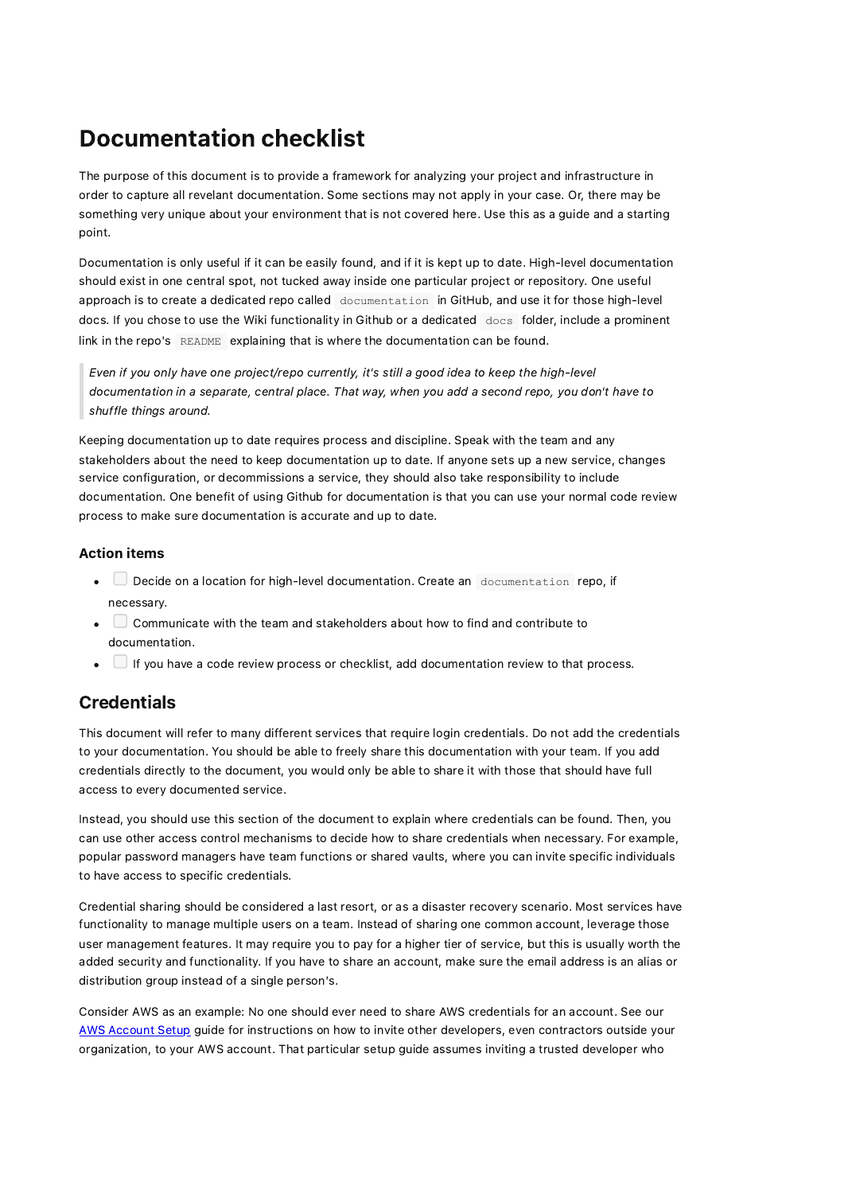# Documentation checklist

The purpose of this document is to provide a framework for analyzing your project and infrastructure in order to capture all revelant documentation. Some sections may not apply in your case. Or, there may be something very unique about your environment that is not covered here. Use this as a guide and a starting point.

Documentation is only useful if it can be easily found, and if it is kept up to date. High-level documentation should exist in one central spot, not tucked away inside one particular project or repository. One useful approach is to create a dedicated repo called documentation in GitHub, and use it for those high-level docs. If you chose to use the Wiki functionality in Github or a dedicated docs folder, include a prominent link in the repo's README explaining that is where the documentation can be found.

Even if you only have one project/repo currently, it's still a good idea to keep the high-level documentation in a separate, central place. That way, when you add a second repo, you don't have to shuffle things around.

Keeping documentation up to date requires process and discipline. Speak with the team and any stakeholders about the need to keep documentation up to date. If anyone sets up a new service, changes service configuration, or decommissions a service, they should also take responsibility to include documentation. One benefit of using Github for documentation is that you can use your normal code review process to make sure documentation is accurate and up to date.

#### Action items

- **Decide on a location for high-level documentation. Create an documentation repo, if** necessary.
- Communicate with the team and stakeholders about how to find and contribute to documentation.
- $\bullet$   $\Box$  If you have a code review process or checklist, add documentation review to that process.

## **Credentials**

This document will refer to many different services that require login credentials. Do not add the credentials to your documentation. You should be able to freely share this documentation with your team. If you add credentials directly to the document, you would only be able to share it with those that should have full access to every documented service.

Instead, you should use this section of the document to explain where credentials can be found. Then, you can use other access control mechanisms to decide how to share credentials when necessary. For example, popular password managers have team functions or shared vaults, where you can invite specific individuals to have access to specific credentials.

Credential sharing should be considered a last resort, or as a disaster recovery scenario. Most services have functionality to manage multiple users on a team. Instead of sharing one common account, leverage those user management features. It may require you to pay for a higher tier of service, but this is usually worth the added security and functionality. If you have to share an account, make sure the email address is an alias or distribution group instead of a single person's.

Consider AWS as an example: No one should ever need to share AWS credentials for an account. See our AWS [Account](https://nocompromises.io/resources/) Setup guide for instructions on how to invite other developers, even contractors outside your organization, to your AWS account. That particular setup guide assumes inviting a trusted developer who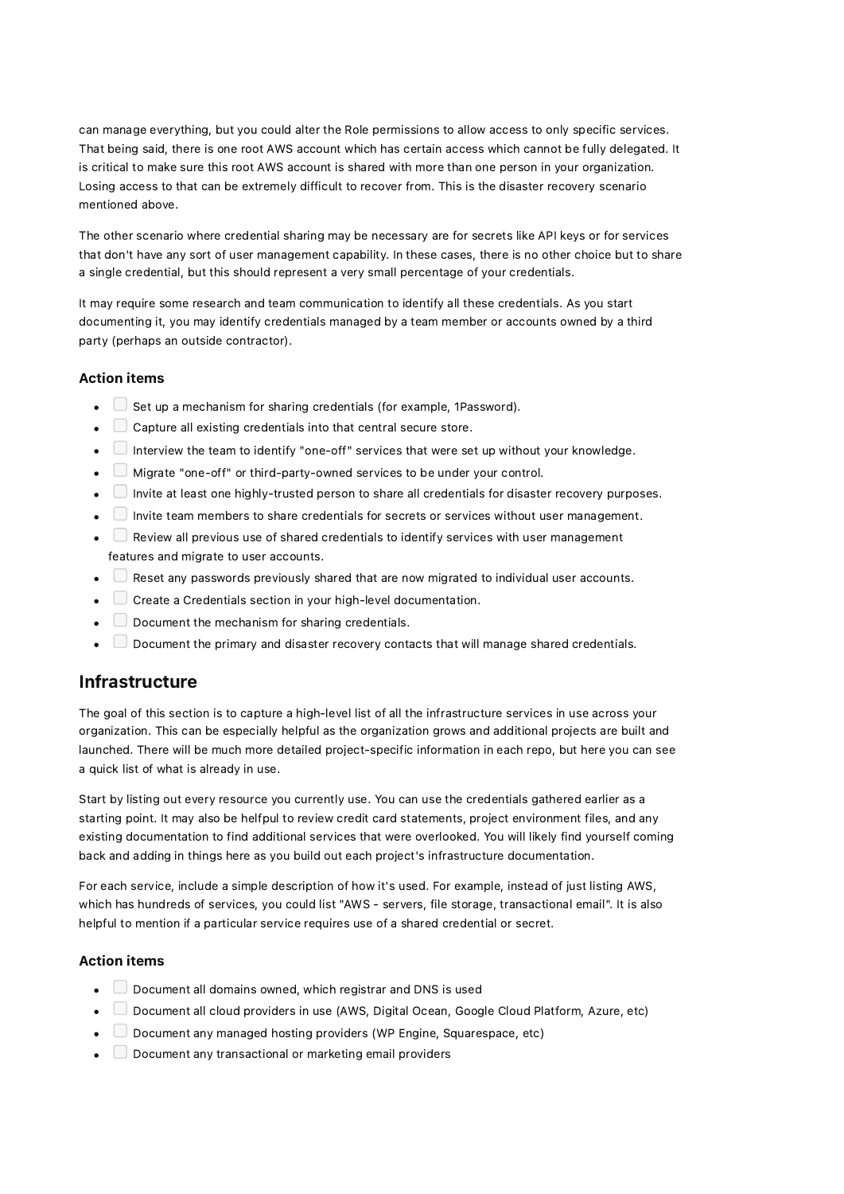can manage everything, but you could alter the Role permissions to allow access to only specific services. That being said, there is one root AWS account which has certain access which cannot be fully delegated. It is critical to make sure this root AWS account is shared with more than one person in your organization. Losing access to that can be extremely difficult to recover from. This is the disaster recovery scenario mentioned above.

The other scenario where credential sharing may be necessary are for secrets like API keys or for services that don't have any sort of user management capability. In these cases, there is no other choice but to share a single credential, but this should represent a very small percentage of your credentials.

It may require some research and team communication to identify all these credentials. As you start documenting it, you may identify credentials managed by a team member or accounts owned by a third party (perhaps an outside contractor).

#### Action items

- $\bullet$   $\Box$  Set up a mechanism for sharing credentials (for example, 1Password).
- $\Box$  Capture all existing credentials into that central secure store.
- Interview the team to identify "one-off" services that were set up without your knowledge.
- Migrate "one-off" or third-party-owned services to be under your control.
- Invite at least one highly-trusted person to share all credentials for disaster recovery purposes.
- Invite team members to share credentials for secrets or services without user management.
- $\Box$  Review all previous use of shared credentials to identify services with user management features and migrate to user accounts.
- $\Box$  Reset any passwords previously shared that are now migrated to individual user accounts.
- Create a Credentials section in your high-level documentation.
- $\Box$  Document the mechanism for sharing credentials.
- $\Box$  Document the primary and disaster recovery contacts that will manage shared credentials.

### Infrastructure

The goal of this section is to capture a high-level list of all the infrastructure services in use across your organization. This can be especially helpful as the organization grows and additional projects are built and launched. There will be much more detailed project-specific information in each repo, but here you can see a quick list of what is already in use.

Start by listing out every resource you currently use. You can use the credentials gathered earlier as a starting point. It may also be helfpul to review credit card statements, project environment files, and any existing documentation to find additional services that were overlooked. You will likely find yourself coming back and adding in things here as you build out each project's infrastructure documentation.

For each service, include a simple description of how it's used. For example, instead of just listing AWS, which has hundreds of services, you could list "AWS - servers, file storage, transactional email". It is also helpful to mention if a particular service requires use of a shared credential or secret.

#### Action items

- $\Box$  Document all domains owned, which registrar and DNS is used
- Document all cloud providers in use (AWS, Digital Ocean, Google Cloud Platform, Azure, etc)
- $\Box$  Document any managed hosting providers (WP Engine, Squarespace, etc)
- $\Box$  Document any transactional or marketing email providers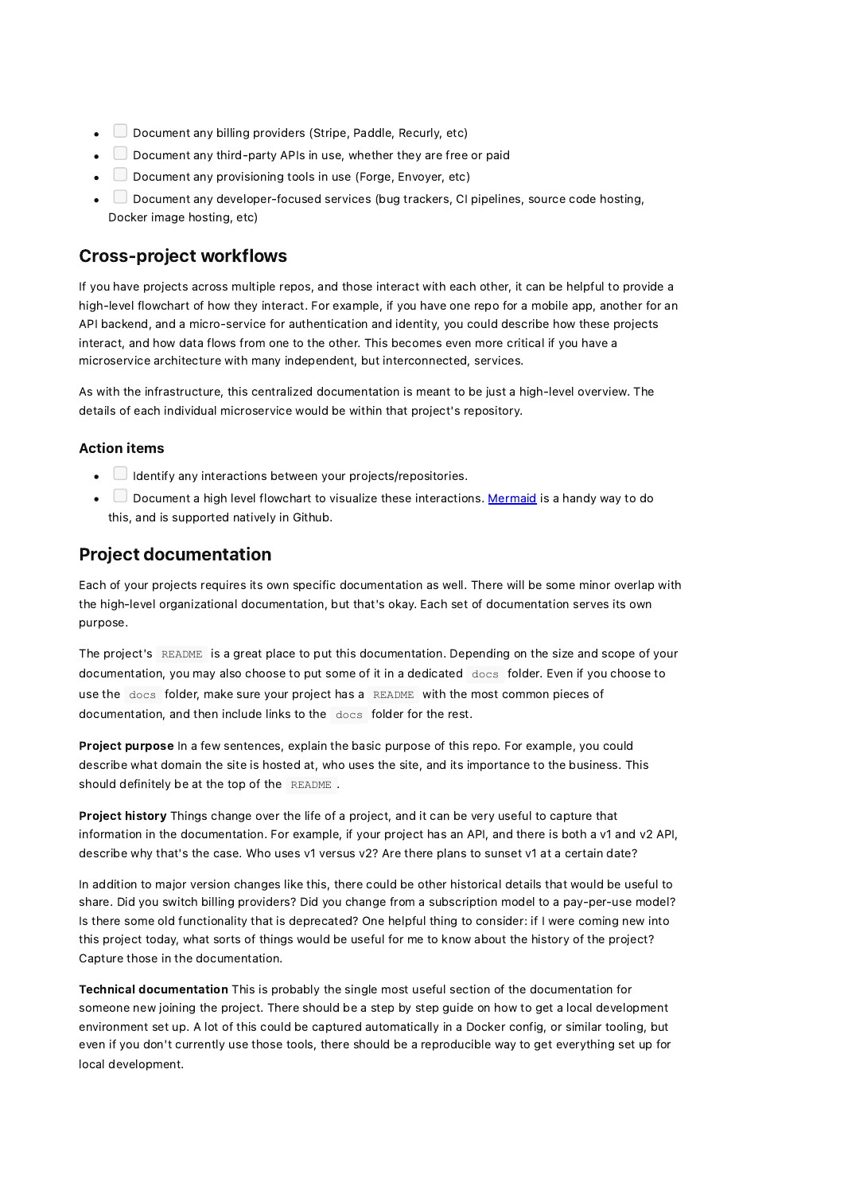- $\Box$  Document any billing providers (Stripe, Paddle, Recurly, etc)
- $\Box$  Document any third-party APIs in use, whether they are free or paid
- Document any provisioning tools in use (Forge, Envoyer, etc)
- $\Box$  Document any developer-focused services (bug trackers, CI pipelines, source code hosting, Docker image hosting, etc)

## Cross-project workflows

If you have projects across multiple repos, and those interact with each other, it can be helpful to provide a high-level flowchart of how they interact. For example, if you have one repo for a mobile app, another for an API backend, and a micro-service for authentication and identity, you could describe how these projects interact, and how data flows from one to the other. This becomes even more critical if you have a microservice architecture with many independent, but interconnected, services.

As with the infrastructure, this centralized documentation is meant to be just a high-level overview. The details of each individual microservice would be within that project's repository.

#### Action items

- $\bullet$   $\Box$  Identify any interactions between your projects/repositories.
- Document a high level flowchart to visualize these interactions. [Mermaid](https://github.blog/2022-02-14-include-diagrams-markdown-files-mermaid/) is a handy way to do this, and is supported natively in Github.

## Project documentation

Each of your projects requires its own specific documentation as well. There will be some minor overlap with the high-level organizational documentation, but that's okay. Each set of documentation serves its own purpose.

The project's README is a great place to put this documentation. Depending on the size and scope of your documentation, you may also choose to put some of it in a dedicated docs folder. Even if you choose to use the docs folder, make sure your project has a README with the most common pieces of documentation, and then include links to the docs folder for the rest.

Project purpose In a few sentences, explain the basic purpose of this repo. For example, you could describe what domain the site is hosted at, who uses the site, and its importance to the business. This should definitely be at the top of the README.

Project history Things change over the life of a project, and it can be very useful to capture that information in the documentation. For example, if your project has an API, and there is both a v1 and v2 API, describe why that's the case. Who uses v1 versus v2? Are there plans to sunset v1 at a certain date?

In addition to major version changes like this, there could be other historical details that would be useful to share. Did you switch billing providers? Did you change from a subscription model to a pay-per-use model? Is there some old functionality that is deprecated? One helpful thing to consider: if I were coming new into this project today, what sorts of things would be useful for me to know about the history of the project? Capture those in the documentation.

Technical documentation This is probably the single most useful section of the documentation for someone new joining the project. There should be a step by step guide on how to get a local development environment set up. A lot of this could be captured automatically in a Docker config, or similar tooling, but even if you don't currently use those tools, there should be a reproducible way to get everything set up for local development.